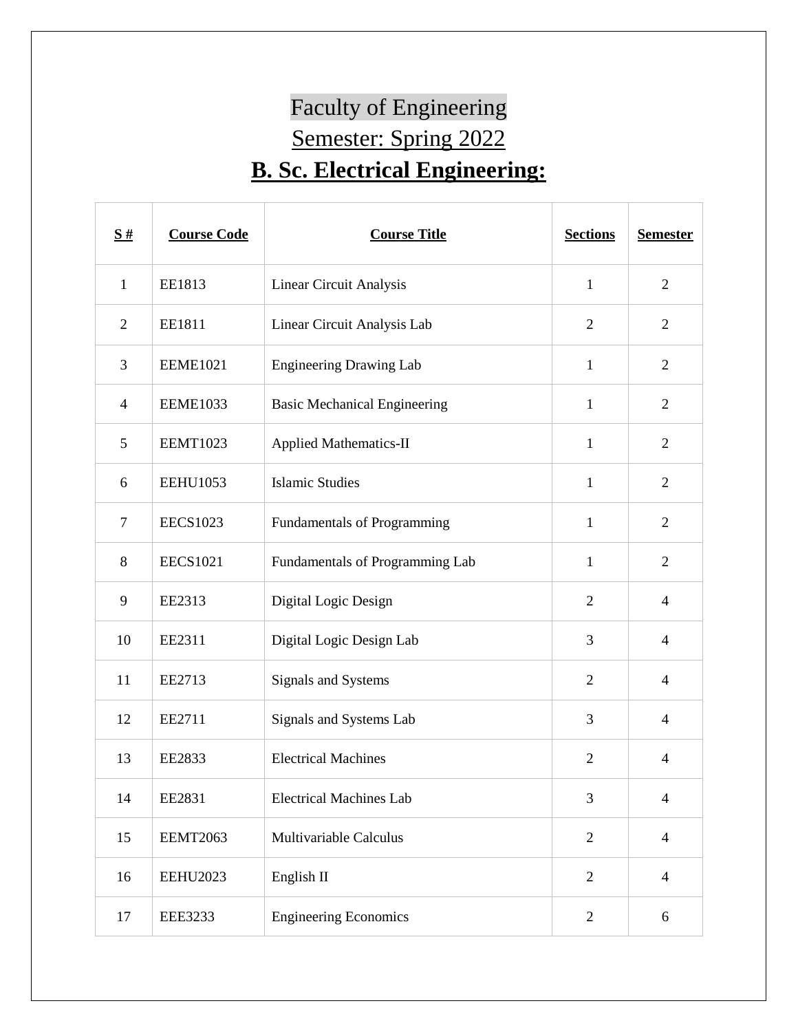## Faculty of Engineering Semester: Spring 2022 **B. Sc. Electrical Engineering:**

| $\underline{\mathbf{S}}$ # | <b>Course Code</b> | <b>Course Title</b>                 | <b>Sections</b> | <b>Semester</b> |
|----------------------------|--------------------|-------------------------------------|-----------------|-----------------|
| $\mathbf{1}$               | EE1813             | Linear Circuit Analysis             | $\mathbf{1}$    | $\overline{2}$  |
| $\overline{2}$             | EE1811             | Linear Circuit Analysis Lab         | $\overline{2}$  | $\overline{2}$  |
| 3                          | <b>EEME1021</b>    | <b>Engineering Drawing Lab</b>      | $\mathbf{1}$    | $\overline{2}$  |
| $\overline{4}$             | <b>EEME1033</b>    | <b>Basic Mechanical Engineering</b> | $\mathbf{1}$    | $\overline{2}$  |
| 5                          | <b>EEMT1023</b>    | <b>Applied Mathematics-II</b>       | $\mathbf{1}$    | $\overline{2}$  |
| 6                          | <b>EEHU1053</b>    | <b>Islamic Studies</b>              | $\mathbf{1}$    | $\overline{2}$  |
| $\tau$                     | <b>EECS1023</b>    | Fundamentals of Programming         | $\mathbf{1}$    | $\overline{2}$  |
| $8\,$                      | <b>EECS1021</b>    | Fundamentals of Programming Lab     | $\mathbf{1}$    | $\overline{2}$  |
| 9                          | EE2313             | Digital Logic Design                | $\overline{2}$  | $\overline{4}$  |
| 10                         | EE2311             | Digital Logic Design Lab            | 3               | $\overline{4}$  |
| 11                         | EE2713             | Signals and Systems                 | $\overline{2}$  | $\overline{4}$  |
| 12                         | EE2711             | Signals and Systems Lab             | 3               | $\overline{4}$  |
| 13                         | EE2833             | <b>Electrical Machines</b>          | $\overline{2}$  | $\overline{4}$  |
| 14                         | EE2831             | <b>Electrical Machines Lab</b>      | 3               | $\overline{4}$  |
| 15                         | <b>EEMT2063</b>    | Multivariable Calculus              | $\overline{2}$  | $\overline{4}$  |
| 16                         | <b>EEHU2023</b>    | English II                          | $\overline{2}$  | $\overline{4}$  |
| 17                         | <b>EEE3233</b>     | <b>Engineering Economics</b>        | $\overline{2}$  | 6               |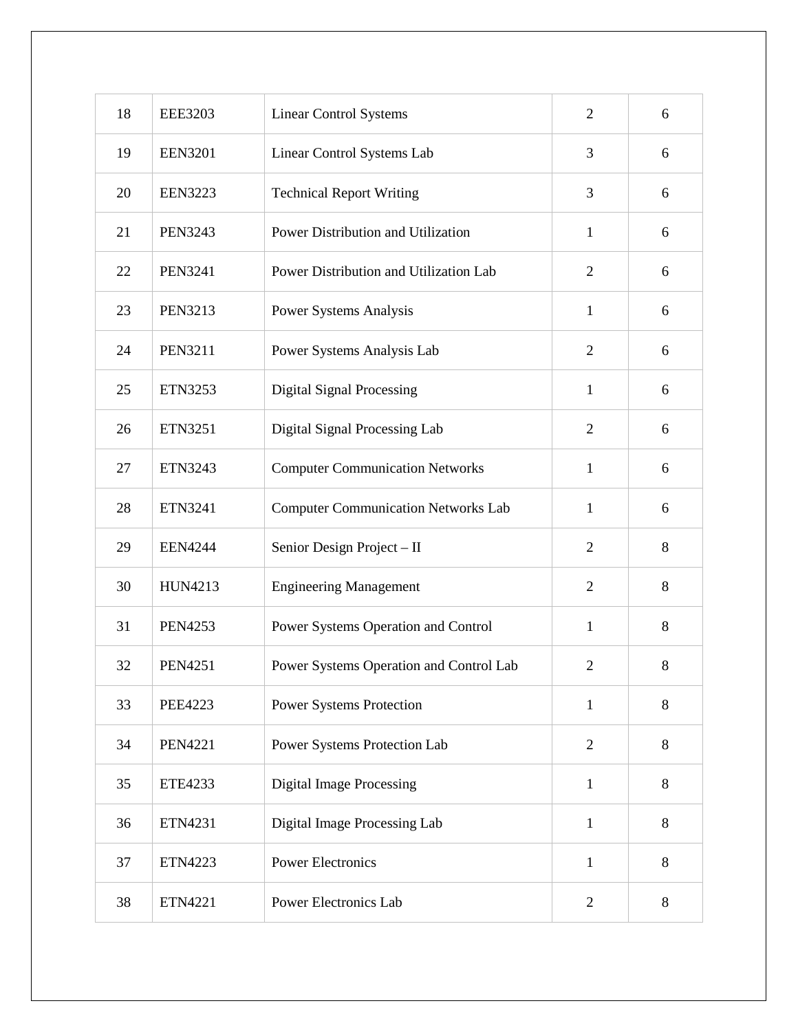| 18 | <b>EEE3203</b> | <b>Linear Control Systems</b>              | $\overline{2}$ | 6     |
|----|----------------|--------------------------------------------|----------------|-------|
| 19 | <b>EEN3201</b> | Linear Control Systems Lab                 | 3              | 6     |
| 20 | <b>EEN3223</b> | <b>Technical Report Writing</b>            | 3              | 6     |
| 21 | <b>PEN3243</b> | Power Distribution and Utilization         | $\mathbf{1}$   | 6     |
| 22 | <b>PEN3241</b> | Power Distribution and Utilization Lab     | $\overline{2}$ | 6     |
| 23 | <b>PEN3213</b> | Power Systems Analysis                     | $\mathbf{1}$   | 6     |
| 24 | <b>PEN3211</b> | Power Systems Analysis Lab                 | $\overline{2}$ | 6     |
| 25 | ETN3253        | <b>Digital Signal Processing</b>           | $\mathbf{1}$   | 6     |
| 26 | <b>ETN3251</b> | Digital Signal Processing Lab              | $\overline{2}$ | 6     |
| 27 | ETN3243        | <b>Computer Communication Networks</b>     | $\mathbf{1}$   | 6     |
| 28 | ETN3241        | <b>Computer Communication Networks Lab</b> | $\mathbf{1}$   | 6     |
| 29 | <b>EEN4244</b> | Senior Design Project - II                 | $\overline{2}$ | 8     |
| 30 | <b>HUN4213</b> | <b>Engineering Management</b>              | $\overline{2}$ | 8     |
| 31 | <b>PEN4253</b> | Power Systems Operation and Control        | $\mathbf{1}$   | 8     |
| 32 | <b>PEN4251</b> | Power Systems Operation and Control Lab    | $\overline{2}$ | 8     |
| 33 | <b>PEE4223</b> | <b>Power Systems Protection</b>            | $\mathbf{1}$   | 8     |
| 34 | <b>PEN4221</b> | Power Systems Protection Lab               | $\overline{2}$ | 8     |
| 35 | <b>ETE4233</b> | <b>Digital Image Processing</b>            | $\mathbf{1}$   | $8\,$ |
| 36 | ETN4231        | Digital Image Processing Lab               | $\mathbf{1}$   | 8     |
| 37 | <b>ETN4223</b> | <b>Power Electronics</b>                   | $\mathbf{1}$   | 8     |
| 38 | ETN4221        | Power Electronics Lab                      | $\overline{2}$ | 8     |